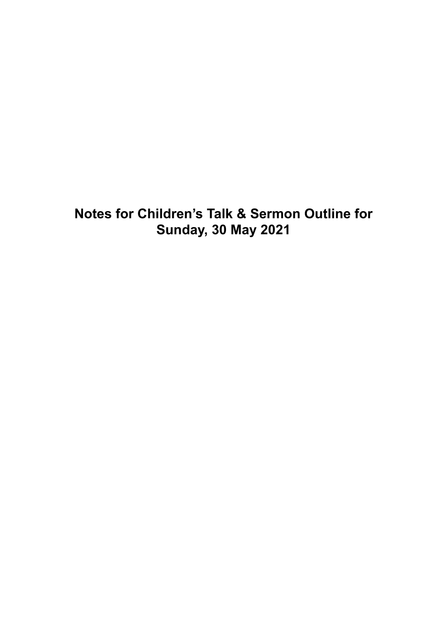## **Notes for Children's Talk & Sermon Outline for Sunday, 30 May 2021**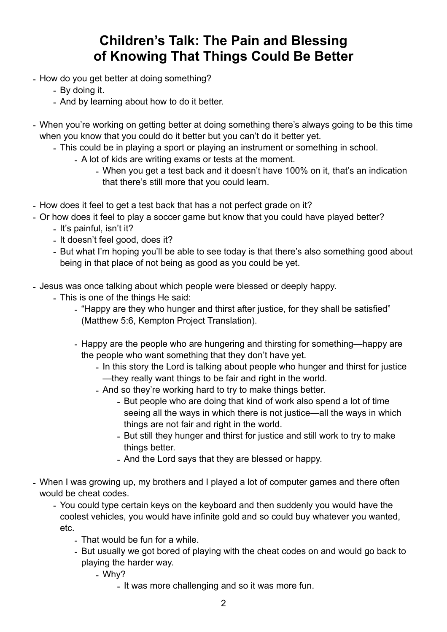## **Children's Talk: The Pain and Blessing of Knowing That Things Could Be Better**

- How do you get better at doing something?
	- By doing it.
	- And by learning about how to do it better.
- When you're working on getting better at doing something there's always going to be this time when you know that you could do it better but you can't do it better yet.
	- This could be in playing a sport or playing an instrument or something in school.
		- A lot of kids are writing exams or tests at the moment.
			- When you get a test back and it doesn't have 100% on it, that's an indication that there's still more that you could learn.
- How does it feel to get a test back that has a not perfect grade on it?
- Or how does it feel to play a soccer game but know that you could have played better?
	- It's painful, isn't it?
	- It doesn't feel good, does it?
	- But what I'm hoping you'll be able to see today is that there's also something good about being in that place of not being as good as you could be yet.
- Jesus was once talking about which people were blessed or deeply happy.
	- This is one of the things He said:
		- "Happy are they who hunger and thirst after justice, for they shall be satisfied" (Matthew 5:6, Kempton Project Translation).
		- Happy are the people who are hungering and thirsting for something—happy are the people who want something that they don't have yet.
			- In this story the Lord is talking about people who hunger and thirst for justice —they really want things to be fair and right in the world.
			- And so they're working hard to try to make things better.
				- But people who are doing that kind of work also spend a lot of time seeing all the ways in which there is not justice—all the ways in which things are not fair and right in the world.
				- But still they hunger and thirst for justice and still work to try to make things better.
				- And the Lord says that they are blessed or happy.
- When I was growing up, my brothers and I played a lot of computer games and there often would be cheat codes.
	- You could type certain keys on the keyboard and then suddenly you would have the coolest vehicles, you would have infinite gold and so could buy whatever you wanted, etc.
		- That would be fun for a while.
		- But usually we got bored of playing with the cheat codes on and would go back to playing the harder way.
			- Why?
				- It was more challenging and so it was more fun.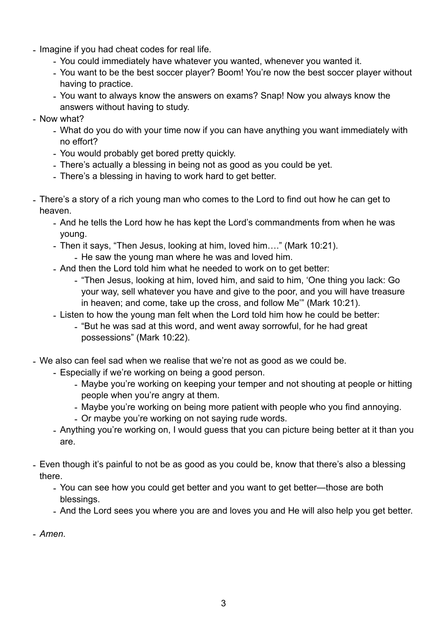- Imagine if you had cheat codes for real life.
	- You could immediately have whatever you wanted, whenever you wanted it.
	- You want to be the best soccer player? Boom! You're now the best soccer player without having to practice.
	- You want to always know the answers on exams? Snap! Now you always know the answers without having to study.
- Now what?
	- What do you do with your time now if you can have anything you want immediately with no effort?
	- You would probably get bored pretty quickly.
	- There's actually a blessing in being not as good as you could be yet.
	- There's a blessing in having to work hard to get better.
- There's a story of a rich young man who comes to the Lord to find out how he can get to heaven.
	- And he tells the Lord how he has kept the Lord's commandments from when he was young.
	- Then it says, "Then Jesus, looking at him, loved him…." (Mark 10:21).
		- He saw the young man where he was and loved him.
	- And then the Lord told him what he needed to work on to get better:
		- "Then Jesus, looking at him, loved him, and said to him, 'One thing you lack: Go your way, sell whatever you have and give to the poor, and you will have treasure in heaven; and come, take up the cross, and follow Me'" (Mark 10:21).
	- Listen to how the young man felt when the Lord told him how he could be better:
		- "But he was sad at this word, and went away sorrowful, for he had great possessions" (Mark 10:22).
- We also can feel sad when we realise that we're not as good as we could be.
	- Especially if we're working on being a good person.
		- Maybe you're working on keeping your temper and not shouting at people or hitting people when you're angry at them.
		- Maybe you're working on being more patient with people who you find annoying.
		- Or maybe you're working on not saying rude words.
	- Anything you're working on, I would guess that you can picture being better at it than you are.
- Even though it's painful to not be as good as you could be, know that there's also a blessing there.
	- You can see how you could get better and you want to get better—those are both blessings.
	- And the Lord sees you where you are and loves you and He will also help you get better.
- *Amen*.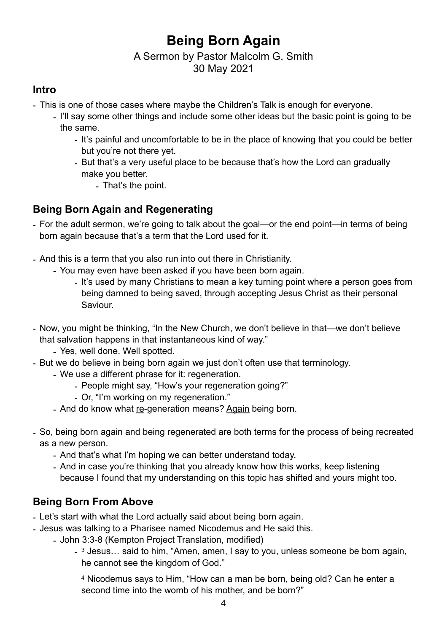# **Being Born Again**

#### A Sermon by Pastor Malcolm G. Smith 30 May 2021

#### **Intro**

- This is one of those cases where maybe the Children's Talk is enough for everyone.
	- I'll say some other things and include some other ideas but the basic point is going to be the same.
		- It's painful and uncomfortable to be in the place of knowing that you could be better but you're not there yet.
		- But that's a very useful place to be because that's how the Lord can gradually make you better.
			- That's the point.

## **Being Born Again and Regenerating**

- For the adult sermon, we're going to talk about the goal—or the end point—in terms of being born again because that's a term that the Lord used for it.
- And this is a term that you also run into out there in Christianity.
	- You may even have been asked if you have been born again.
		- It's used by many Christians to mean a key turning point where a person goes from being damned to being saved, through accepting Jesus Christ as their personal Saviour.
- Now, you might be thinking, "In the New Church, we don't believe in that—we don't believe that salvation happens in that instantaneous kind of way."
	- Yes, well done. Well spotted.
- But we do believe in being born again we just don't often use that terminology.
	- We use a different phrase for it: regeneration.
		- People might say, "How's your regeneration going?"
		- Or, "I'm working on my regeneration."
	- And do know what re-generation means? Again being born.
- So, being born again and being regenerated are both terms for the process of being recreated as a new person.
	- And that's what I'm hoping we can better understand today.
	- And in case you're thinking that you already know how this works, keep listening because I found that my understanding on this topic has shifted and yours might too.

## **Being Born From Above**

- Let's start with what the Lord actually said about being born again.
- Jesus was talking to a Pharisee named Nicodemus and He said this.
	- John 3:3-8 (Kempton Project Translation, modified)
		- <sup>3</sup> Jesus... said to him, "Amen, amen, I say to you, unless someone be born again, he cannot see the kingdom of God."

4 Nicodemus says to Him, "How can a man be born, being old? Can he enter a second time into the womb of his mother, and be born?"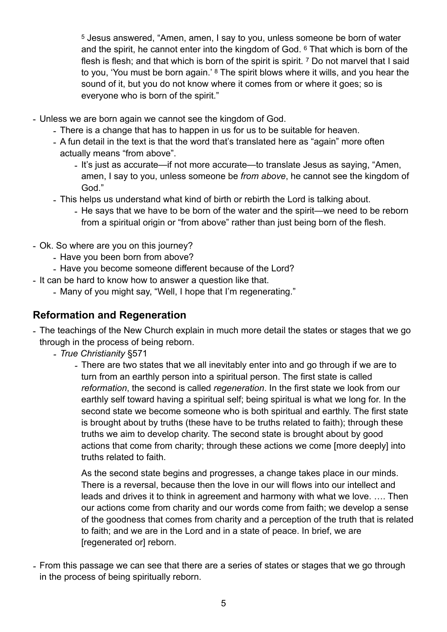5 Jesus answered, "Amen, amen, I say to you, unless someone be born of water and the spirit, he cannot enter into the kingdom of God. 6 That which is born of the flesh is flesh; and that which is born of the spirit is spirit. <sup>7</sup> Do not marvel that I said to you, 'You must be born again.' 8 The spirit blows where it wills, and you hear the sound of it, but you do not know where it comes from or where it goes; so is everyone who is born of the spirit."

- Unless we are born again we cannot see the kingdom of God.
	- There is a change that has to happen in us for us to be suitable for heaven.
	- A fun detail in the text is that the word that's translated here as "again" more often actually means "from above".
		- It's just as accurate—if not more accurate—to translate Jesus as saying, "Amen, amen, I say to you, unless someone be *from above*, he cannot see the kingdom of God."
	- This helps us understand what kind of birth or rebirth the Lord is talking about.
		- He says that we have to be born of the water and the spirit—we need to be reborn from a spiritual origin or "from above" rather than just being born of the flesh.
- Ok. So where are you on this journey?
	- Have you been born from above?
	- Have you become someone different because of the Lord?
- It can be hard to know how to answer a question like that.
	- Many of you might say, "Well, I hope that I'm regenerating."

#### **Reformation and Regeneration**

- The teachings of the New Church explain in much more detail the states or stages that we go through in the process of being reborn.
	- *- True Christianity* §571
		- *-* There are two states that we all inevitably enter into and go through if we are to turn from an earthly person into a spiritual person. The first state is called *reformation*, the second is called *regeneration*. In the first state we look from our earthly self toward having a spiritual self; being spiritual is what we long for. In the second state we become someone who is both spiritual and earthly. The first state is brought about by truths (these have to be truths related to faith); through these truths we aim to develop charity. The second state is brought about by good actions that come from charity; through these actions we come [more deeply] into truths related to faith.

As the second state begins and progresses, a change takes place in our minds. There is a reversal, because then the love in our will flows into our intellect and leads and drives it to think in agreement and harmony with what we love. …. Then our actions come from charity and our words come from faith; we develop a sense of the goodness that comes from charity and a perception of the truth that is related to faith; and we are in the Lord and in a state of peace. In brief, we are [regenerated or] reborn.

*-* From this passage we can see that there are a series of states or stages that we go through in the process of being spiritually reborn.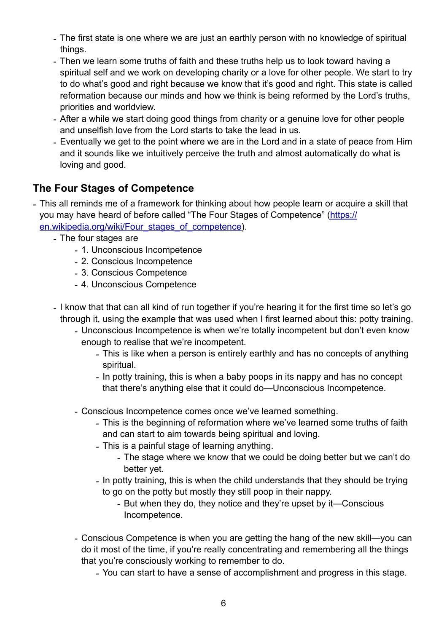- *-* The first state is one where we are just an earthly person with no knowledge of spiritual things.
- *-* Then we learn some truths of faith and these truths help us to look toward having a spiritual self and we work on developing charity or a love for other people. We start to try to do what's good and right because we know that it's good and right. This state is called reformation because our minds and how we think is being reformed by the Lord's truths, priorities and worldview.
- *-* After a while we start doing good things from charity or a genuine love for other people and unselfish love from the Lord starts to take the lead in us.
- *-* Eventually we get to the point where we are in the Lord and in a state of peace from Him and it sounds like we intuitively perceive the truth and almost automatically do what is loving and good.

### **The Four Stages of Competence**

*-* This all reminds me of a framework for thinking about how people learn or acquire a skill that you may have heard of before called "The Four Stages of Competence" ([https://](https://en.wikipedia.org/wiki/Four_stages_of_competence) [en.wikipedia.org/wiki/Four\\_stages\\_of\\_competence](https://en.wikipedia.org/wiki/Four_stages_of_competence)).

- *-* The four stages are
	- *-* 1. Unconscious Incompetence
	- *-* 2. Conscious Incompetence
	- *-* 3. Conscious Competence
	- *-* 4. Unconscious Competence
- *-* I know that that can all kind of run together if you're hearing it for the first time so let's go through it, using the example that was used when I first learned about this: potty training.
	- *-* Unconscious Incompetence is when we're totally incompetent but don't even know enough to realise that we're incompetent.
		- *-* This is like when a person is entirely earthly and has no concepts of anything spiritual.
		- *-* In potty training, this is when a baby poops in its nappy and has no concept that there's anything else that it could do—Unconscious Incompetence.
	- *-* Conscious Incompetence comes once we've learned something.
		- *-* This is the beginning of reformation where we've learned some truths of faith and can start to aim towards being spiritual and loving.
		- *-* This is a painful stage of learning anything.
			- *-* The stage where we know that we could be doing better but we can't do better yet.
		- *-* In potty training, this is when the child understands that they should be trying to go on the potty but mostly they still poop in their nappy.
			- *-* But when they do, they notice and they're upset by it—Conscious Incompetence.
	- *-* Conscious Competence is when you are getting the hang of the new skill—you can do it most of the time, if you're really concentrating and remembering all the things that you're consciously working to remember to do.
		- *-* You can start to have a sense of accomplishment and progress in this stage.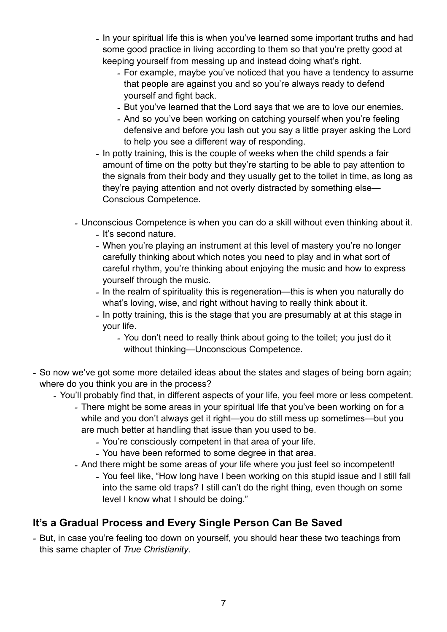- *-* In your spiritual life this is when you've learned some important truths and had some good practice in living according to them so that you're pretty good at keeping yourself from messing up and instead doing what's right.
	- *-* For example, maybe you've noticed that you have a tendency to assume that people are against you and so you're always ready to defend yourself and fight back.
	- *-* But you've learned that the Lord says that we are to love our enemies.
	- *-* And so you've been working on catching yourself when you're feeling defensive and before you lash out you say a little prayer asking the Lord to help you see a different way of responding.
- *-* In potty training, this is the couple of weeks when the child spends a fair amount of time on the potty but they're starting to be able to pay attention to the signals from their body and they usually get to the toilet in time, as long as they're paying attention and not overly distracted by something else— Conscious Competence.
- *-* Unconscious Competence is when you can do a skill without even thinking about it.
	- *-* It's second nature.
	- *-* When you're playing an instrument at this level of mastery you're no longer carefully thinking about which notes you need to play and in what sort of careful rhythm, you're thinking about enjoying the music and how to express yourself through the music.
	- *-* In the realm of spirituality this is regeneration—this is when you naturally do what's loving, wise, and right without having to really think about it.
	- *-* In potty training, this is the stage that you are presumably at at this stage in your life.
		- *-* You don't need to really think about going to the toilet; you just do it without thinking—Unconscious Competence.
- *-* So now we've got some more detailed ideas about the states and stages of being born again; where do you think you are in the process?
	- *-* You'll probably find that, in different aspects of your life, you feel more or less competent.
		- *-* There might be some areas in your spiritual life that you've been working on for a while and you don't always get it right—you do still mess up sometimes—but you are much better at handling that issue than you used to be.
			- *-* You're consciously competent in that area of your life.
			- *-* You have been reformed to some degree in that area.
		- *-* And there might be some areas of your life where you just feel so incompetent!
			- *-* You feel like, "How long have I been working on this stupid issue and I still fall into the same old traps? I still can't do the right thing, even though on some level I know what I should be doing."

## **It's a Gradual Process and Every Single Person Can Be Saved**

*-* But, in case you're feeling too down on yourself, you should hear these two teachings from this same chapter of *True Christianity*.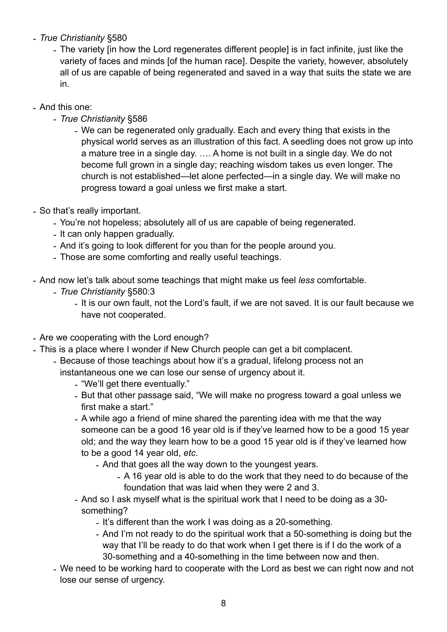- *- True Christianity* §580
	- *-* The variety [in how the Lord regenerates different people] is in fact infinite, just like the variety of faces and minds [of the human race]. Despite the variety, however, absolutely all of us are capable of being regenerated and saved in a way that suits the state we are in.
- *-* And this one:
	- *- True Christianity* §586
		- *-* We can be regenerated only gradually. Each and every thing that exists in the physical world serves as an illustration of this fact. A seedling does not grow up into a mature tree in a single day. …. A home is not built in a single day. We do not become full grown in a single day; reaching wisdom takes us even longer. The church is not established—let alone perfected—in a single day. We will make no progress toward a goal unless we first make a start.
- *-* So that's really important.
	- *-* You're not hopeless; absolutely all of us are capable of being regenerated.
	- *-* It can only happen gradually.
	- *-* And it's going to look different for you than for the people around you.
	- *-* Those are some comforting and really useful teachings.
- *-* And now let's talk about some teachings that might make us feel *less* comfortable.
	- *- True Christianity* §580:3
		- *-* It is our own fault, not the Lord's fault, if we are not saved. It is our fault because we have not cooperated.
- *-* Are we cooperating with the Lord enough?
- *-* This is a place where I wonder if New Church people can get a bit complacent.
	- *-* Because of those teachings about how it's a gradual, lifelong process not an instantaneous one we can lose our sense of urgency about it.
		- *-* "We'll get there eventually."
		- *-* But that other passage said, "We will make no progress toward a goal unless we first make a start."
		- *-* A while ago a friend of mine shared the parenting idea with me that the way someone can be a good 16 year old is if they've learned how to be a good 15 year old; and the way they learn how to be a good 15 year old is if they've learned how to be a good 14 year old, *etc*.
			- *-* And that goes all the way down to the youngest years.
				- *-* A 16 year old is able to do the work that they need to do because of the foundation that was laid when they were 2 and 3.
		- *-* And so I ask myself what is the spiritual work that I need to be doing as a 30 something?
			- *-* It's different than the work I was doing as a 20-something.
			- *-* And I'm not ready to do the spiritual work that a 50-something is doing but the way that I'll be ready to do that work when I get there is if I do the work of a 30-something and a 40-something in the time between now and then.
	- *-* We need to be working hard to cooperate with the Lord as best we can right now and not lose our sense of urgency.